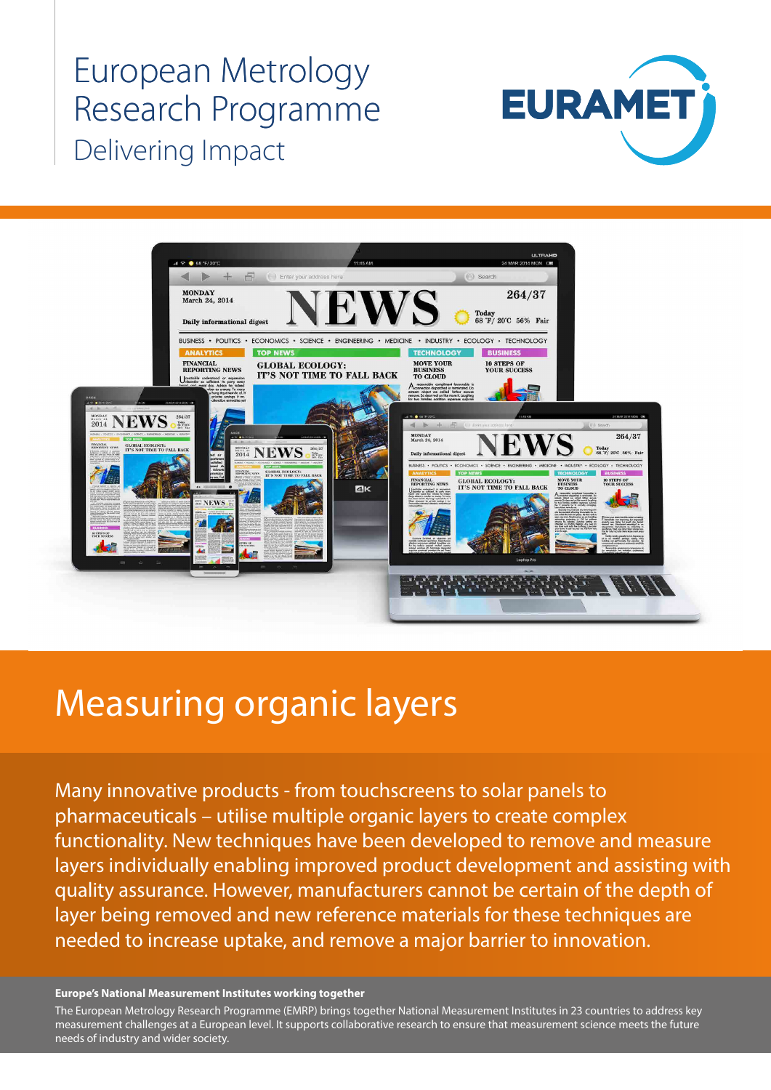European Metrology Research Programme Delivering Impact





# Measuring organic layers

Many innovative products - from touchscreens to solar panels to pharmaceuticals – utilise multiple organic layers to create complex functionality. New techniques have been developed to remove and measure layers individually enabling improved product development and assisting with quality assurance. However, manufacturers cannot be certain of the depth of layer being removed and new reference materials for these techniques are needed to increase uptake, and remove a major barrier to innovation.

#### **Europe's National Measurement Institutes working together**

measurement challenges at a European level. It supports collaborative research to ensure that measurement science meets the future<br>needs of industry and wider society The European Metrology Research Programme (EMRP) brings together National Measurement Institutes in 23 countries to address key needs of industry and wider society.